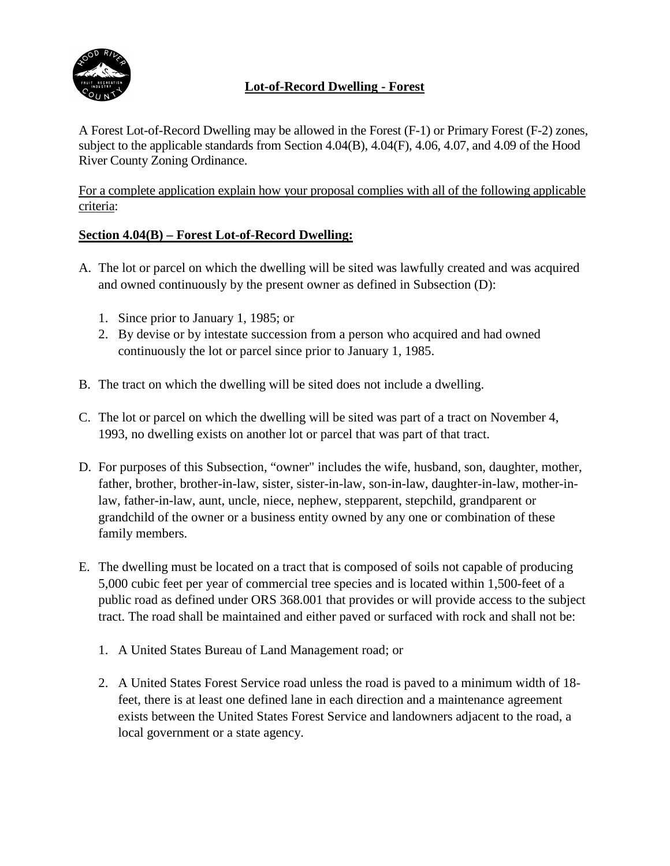

# **Lot-of-Record Dwelling - Forest**

A Forest Lot-of-Record Dwelling may be allowed in the Forest (F-1) or Primary Forest (F-2) zones, subject to the applicable standards from Section 4.04(B), 4.04(F), 4.06, 4.07, and 4.09 of the Hood River County Zoning Ordinance.

For a complete application explain how your proposal complies with all of the following applicable criteria:

## **Section 4.04(B) – Forest Lot-of-Record Dwelling:**

- A. The lot or parcel on which the dwelling will be sited was lawfully created and was acquired and owned continuously by the present owner as defined in Subsection (D):
	- 1. Since prior to January 1, 1985; or
	- 2. By devise or by intestate succession from a person who acquired and had owned continuously the lot or parcel since prior to January 1, 1985.
- B. The tract on which the dwelling will be sited does not include a dwelling.
- C. The lot or parcel on which the dwelling will be sited was part of a tract on November 4, 1993, no dwelling exists on another lot or parcel that was part of that tract.
- D. For purposes of this Subsection, "owner" includes the wife, husband, son, daughter, mother, father, brother, brother-in-law, sister, sister-in-law, son-in-law, daughter-in-law, mother-inlaw, father-in-law, aunt, uncle, niece, nephew, stepparent, stepchild, grandparent or grandchild of the owner or a business entity owned by any one or combination of these family members.
- E. The dwelling must be located on a tract that is composed of soils not capable of producing 5,000 cubic feet per year of commercial tree species and is located within 1,500-feet of a public road as defined under ORS 368.001 that provides or will provide access to the subject tract. The road shall be maintained and either paved or surfaced with rock and shall not be:
	- 1. A United States Bureau of Land Management road; or
	- 2. A United States Forest Service road unless the road is paved to a minimum width of 18 feet, there is at least one defined lane in each direction and a maintenance agreement exists between the United States Forest Service and landowners adjacent to the road, a local government or a state agency.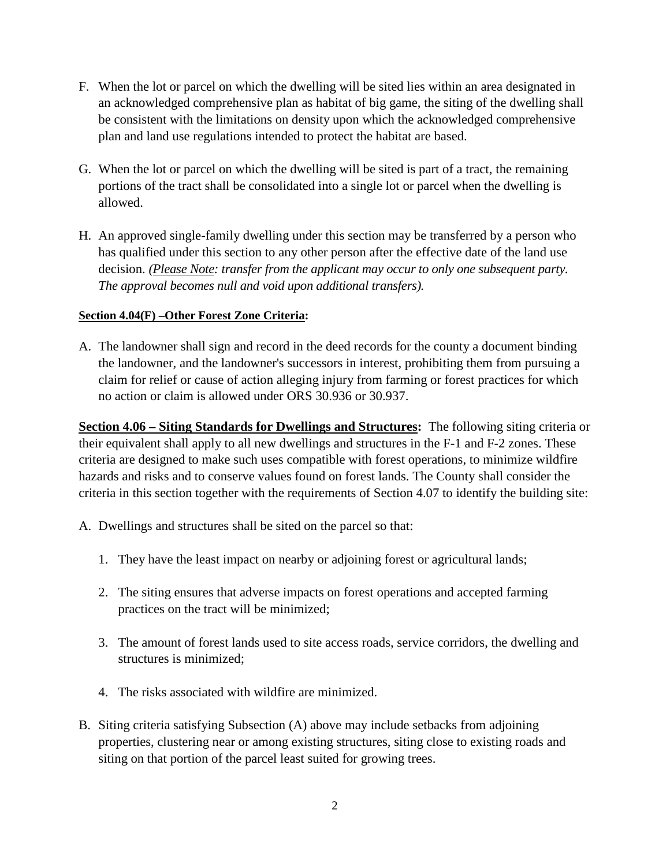- F. When the lot or parcel on which the dwelling will be sited lies within an area designated in an acknowledged comprehensive plan as habitat of big game, the siting of the dwelling shall be consistent with the limitations on density upon which the acknowledged comprehensive plan and land use regulations intended to protect the habitat are based.
- G. When the lot or parcel on which the dwelling will be sited is part of a tract, the remaining portions of the tract shall be consolidated into a single lot or parcel when the dwelling is allowed.
- H. An approved single-family dwelling under this section may be transferred by a person who has qualified under this section to any other person after the effective date of the land use decision. *(Please Note: transfer from the applicant may occur to only one subsequent party. The approval becomes null and void upon additional transfers).*

## **Section 4.04(F) –Other Forest Zone Criteria:**

A. The landowner shall sign and record in the deed records for the county a document binding the landowner, and the landowner's successors in interest, prohibiting them from pursuing a claim for relief or cause of action alleging injury from farming or forest practices for which no action or claim is allowed under ORS 30.936 or 30.937.

**Section 4.06 – Siting Standards for Dwellings and Structures:** The following siting criteria or their equivalent shall apply to all new dwellings and structures in the F-1 and F-2 zones. These criteria are designed to make such uses compatible with forest operations, to minimize wildfire hazards and risks and to conserve values found on forest lands. The County shall consider the criteria in this section together with the requirements of Section 4.07 to identify the building site:

- A. Dwellings and structures shall be sited on the parcel so that:
	- 1. They have the least impact on nearby or adjoining forest or agricultural lands;
	- 2. The siting ensures that adverse impacts on forest operations and accepted farming practices on the tract will be minimized;
	- 3. The amount of forest lands used to site access roads, service corridors, the dwelling and structures is minimized;
	- 4. The risks associated with wildfire are minimized.
- B. Siting criteria satisfying Subsection (A) above may include setbacks from adjoining properties, clustering near or among existing structures, siting close to existing roads and siting on that portion of the parcel least suited for growing trees.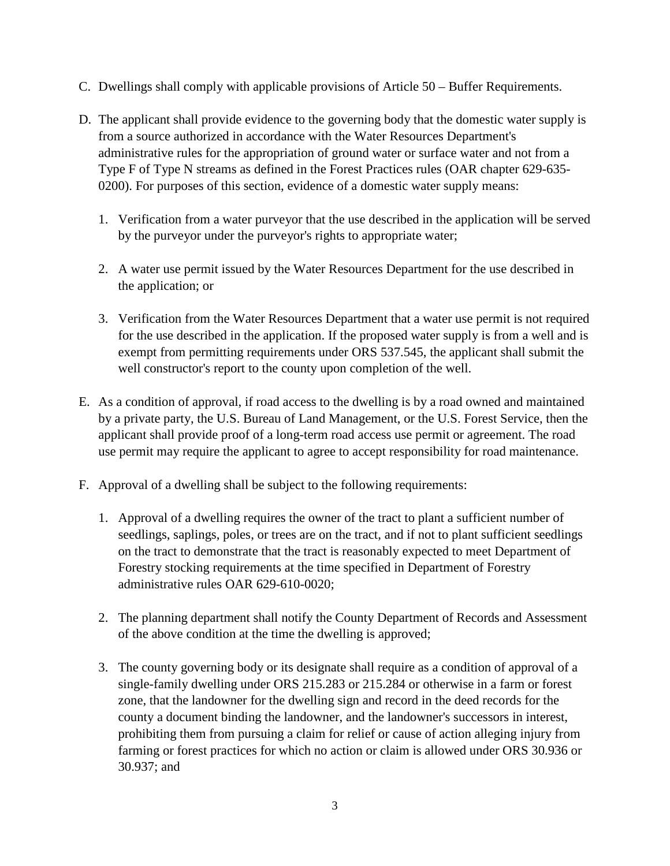- C. Dwellings shall comply with applicable provisions of Article 50 Buffer Requirements.
- D. The applicant shall provide evidence to the governing body that the domestic water supply is from a source authorized in accordance with the Water Resources Department's administrative rules for the appropriation of ground water or surface water and not from a Type F of Type N streams as defined in the Forest Practices rules (OAR chapter 629-635- 0200). For purposes of this section, evidence of a domestic water supply means:
	- 1. Verification from a water purveyor that the use described in the application will be served by the purveyor under the purveyor's rights to appropriate water;
	- 2. A water use permit issued by the Water Resources Department for the use described in the application; or
	- 3. Verification from the Water Resources Department that a water use permit is not required for the use described in the application. If the proposed water supply is from a well and is exempt from permitting requirements under ORS 537.545, the applicant shall submit the well constructor's report to the county upon completion of the well.
- E. As a condition of approval, if road access to the dwelling is by a road owned and maintained by a private party, the U.S. Bureau of Land Management, or the U.S. Forest Service, then the applicant shall provide proof of a long-term road access use permit or agreement. The road use permit may require the applicant to agree to accept responsibility for road maintenance.
- F. Approval of a dwelling shall be subject to the following requirements:
	- 1. Approval of a dwelling requires the owner of the tract to plant a sufficient number of seedlings, saplings, poles, or trees are on the tract, and if not to plant sufficient seedlings on the tract to demonstrate that the tract is reasonably expected to meet Department of Forestry stocking requirements at the time specified in Department of Forestry administrative rules OAR 629-610-0020;
	- 2. The planning department shall notify the County Department of Records and Assessment of the above condition at the time the dwelling is approved;
	- 3. The county governing body or its designate shall require as a condition of approval of a single-family dwelling under ORS 215.283 or 215.284 or otherwise in a farm or forest zone, that the landowner for the dwelling sign and record in the deed records for the county a document binding the landowner, and the landowner's successors in interest, prohibiting them from pursuing a claim for relief or cause of action alleging injury from farming or forest practices for which no action or claim is allowed under ORS 30.936 or 30.937; and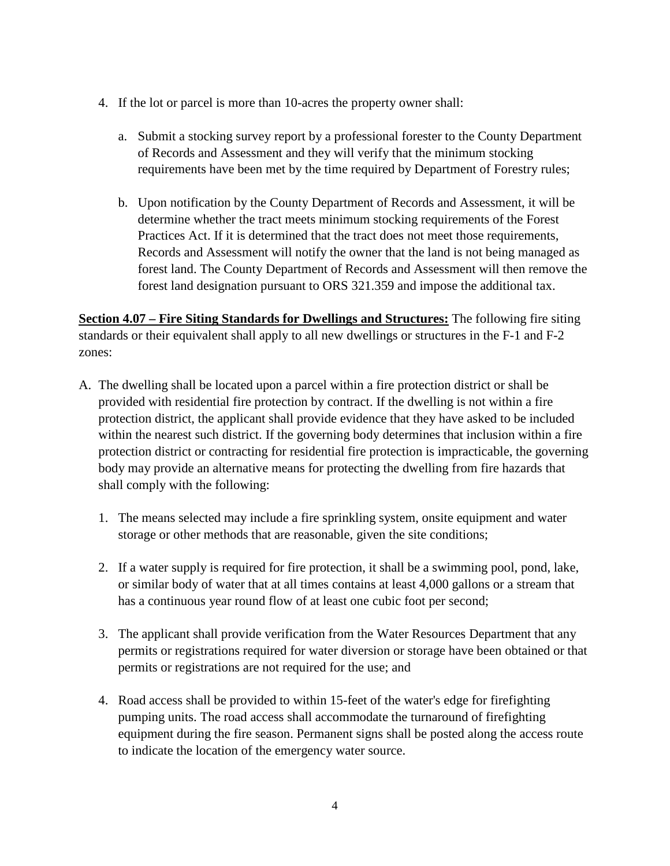- 4. If the lot or parcel is more than 10-acres the property owner shall:
	- a. Submit a stocking survey report by a professional forester to the County Department of Records and Assessment and they will verify that the minimum stocking requirements have been met by the time required by Department of Forestry rules;
	- b. Upon notification by the County Department of Records and Assessment, it will be determine whether the tract meets minimum stocking requirements of the Forest Practices Act. If it is determined that the tract does not meet those requirements, Records and Assessment will notify the owner that the land is not being managed as forest land. The County Department of Records and Assessment will then remove the forest land designation pursuant to ORS 321.359 and impose the additional tax.

**Section 4.07 – Fire Siting Standards for Dwellings and Structures:** The following fire siting standards or their equivalent shall apply to all new dwellings or structures in the F-1 and F-2 zones:

- A. The dwelling shall be located upon a parcel within a fire protection district or shall be provided with residential fire protection by contract. If the dwelling is not within a fire protection district, the applicant shall provide evidence that they have asked to be included within the nearest such district. If the governing body determines that inclusion within a fire protection district or contracting for residential fire protection is impracticable, the governing body may provide an alternative means for protecting the dwelling from fire hazards that shall comply with the following:
	- 1. The means selected may include a fire sprinkling system, onsite equipment and water storage or other methods that are reasonable, given the site conditions;
	- 2. If a water supply is required for fire protection, it shall be a swimming pool, pond, lake, or similar body of water that at all times contains at least 4,000 gallons or a stream that has a continuous year round flow of at least one cubic foot per second;
	- 3. The applicant shall provide verification from the Water Resources Department that any permits or registrations required for water diversion or storage have been obtained or that permits or registrations are not required for the use; and
	- 4. Road access shall be provided to within 15-feet of the water's edge for firefighting pumping units. The road access shall accommodate the turnaround of firefighting equipment during the fire season. Permanent signs shall be posted along the access route to indicate the location of the emergency water source.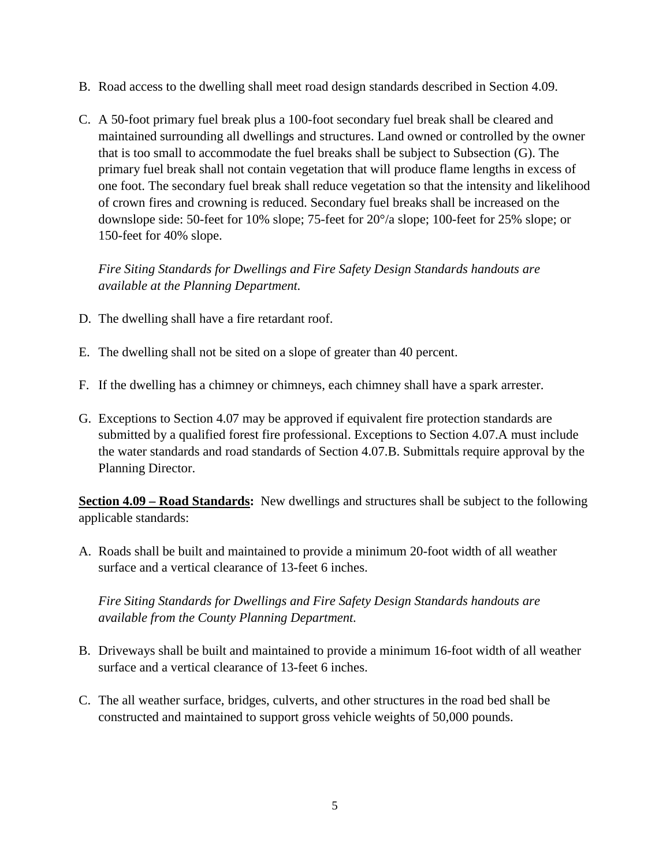- B. Road access to the dwelling shall meet road design standards described in Section 4.09.
- C. A 50-foot primary fuel break plus a 100-foot secondary fuel break shall be cleared and maintained surrounding all dwellings and structures. Land owned or controlled by the owner that is too small to accommodate the fuel breaks shall be subject to Subsection (G). The primary fuel break shall not contain vegetation that will produce flame lengths in excess of one foot. The secondary fuel break shall reduce vegetation so that the intensity and likelihood of crown fires and crowning is reduced. Secondary fuel breaks shall be increased on the downslope side: 50-feet for 10% slope; 75-feet for 20°/a slope; 100-feet for 25% slope; or 150-feet for 40% slope.

*Fire Siting Standards for Dwellings and Fire Safety Design Standards handouts are available at the Planning Department.*

- D. The dwelling shall have a fire retardant roof.
- E. The dwelling shall not be sited on a slope of greater than 40 percent.
- F. If the dwelling has a chimney or chimneys, each chimney shall have a spark arrester.
- G. Exceptions to Section 4.07 may be approved if equivalent fire protection standards are submitted by a qualified forest fire professional. Exceptions to Section 4.07.A must include the water standards and road standards of Section 4.07.B. Submittals require approval by the Planning Director.

**Section 4.09 – Road Standards:** New dwellings and structures shall be subject to the following applicable standards:

A. Roads shall be built and maintained to provide a minimum 20-foot width of all weather surface and a vertical clearance of 13-feet 6 inches.

*Fire Siting Standards for Dwellings and Fire Safety Design Standards handouts are available from the County Planning Department.*

- B. Driveways shall be built and maintained to provide a minimum 16-foot width of all weather surface and a vertical clearance of 13-feet 6 inches.
- C. The all weather surface, bridges, culverts, and other structures in the road bed shall be constructed and maintained to support gross vehicle weights of 50,000 pounds.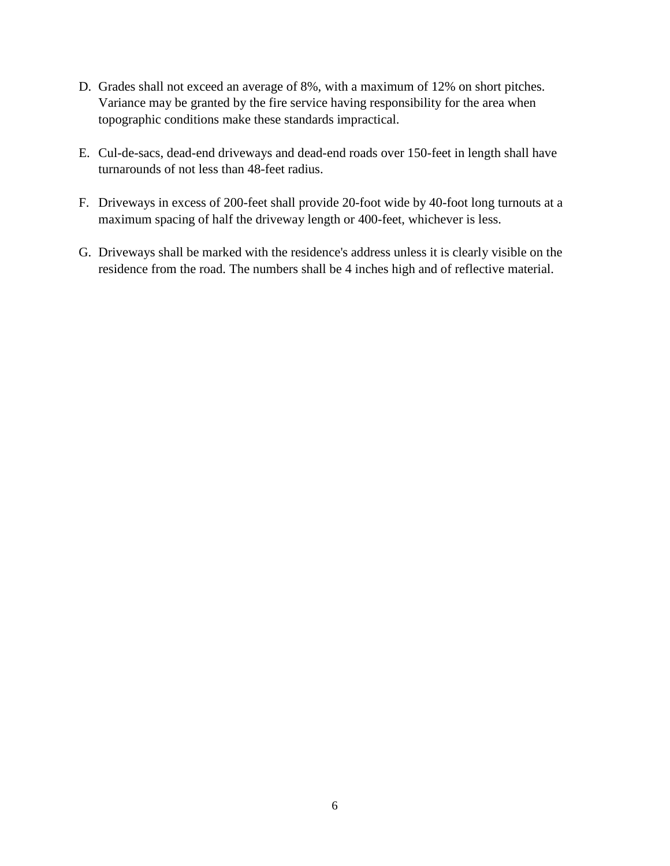- D. Grades shall not exceed an average of 8%, with a maximum of 12% on short pitches. Variance may be granted by the fire service having responsibility for the area when topographic conditions make these standards impractical.
- E. Cul-de-sacs, dead-end driveways and dead-end roads over 150-feet in length shall have turnarounds of not less than 48-feet radius.
- F. Driveways in excess of 200-feet shall provide 20-foot wide by 40-foot long turnouts at a maximum spacing of half the driveway length or 400-feet, whichever is less.
- G. Driveways shall be marked with the residence's address unless it is clearly visible on the residence from the road. The numbers shall be 4 inches high and of reflective material.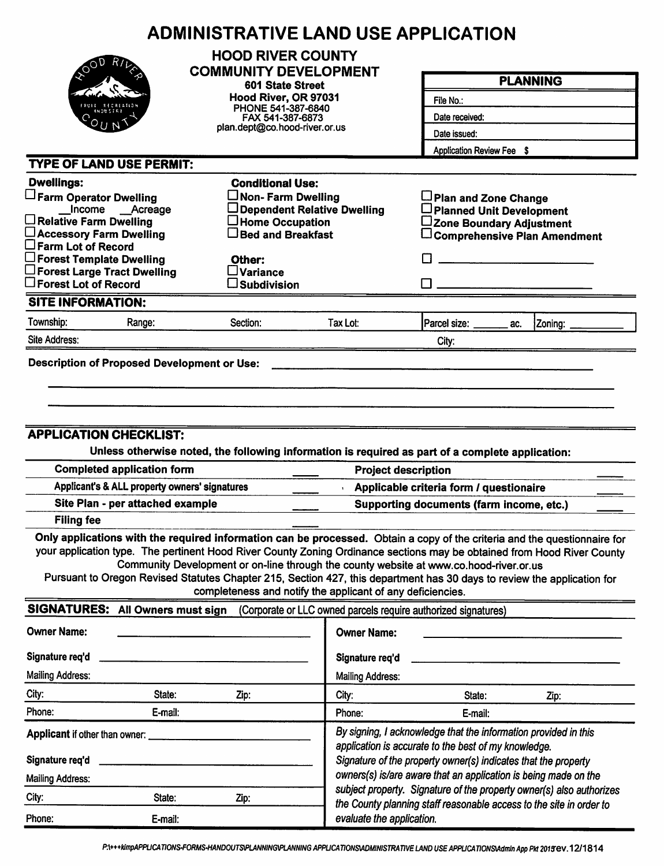|                                                                                                                                                                                                                                                    | <b>ADMINISTRATIVE LAND USE APPLICATION</b>                                                                                                                                                                                                                                                                                                                                                                             |                                                                                                                                                                                           |                                                                      |                                                                                     |  |  |  |
|----------------------------------------------------------------------------------------------------------------------------------------------------------------------------------------------------------------------------------------------------|------------------------------------------------------------------------------------------------------------------------------------------------------------------------------------------------------------------------------------------------------------------------------------------------------------------------------------------------------------------------------------------------------------------------|-------------------------------------------------------------------------------------------------------------------------------------------------------------------------------------------|----------------------------------------------------------------------|-------------------------------------------------------------------------------------|--|--|--|
|                                                                                                                                                                                                                                                    | <b>HOOD RIVER COUNTY</b><br><b>COMMUNITY DEVELOPMENT</b>                                                                                                                                                                                                                                                                                                                                                               |                                                                                                                                                                                           |                                                                      | <b>PLANNING</b>                                                                     |  |  |  |
|                                                                                                                                                                                                                                                    | 601 State Street                                                                                                                                                                                                                                                                                                                                                                                                       |                                                                                                                                                                                           |                                                                      |                                                                                     |  |  |  |
|                                                                                                                                                                                                                                                    | Hood River, OR 97031<br>PHONE 541-387-6840                                                                                                                                                                                                                                                                                                                                                                             |                                                                                                                                                                                           | File No.:                                                            |                                                                                     |  |  |  |
|                                                                                                                                                                                                                                                    | FAX 541-387-6873                                                                                                                                                                                                                                                                                                                                                                                                       |                                                                                                                                                                                           | Date received:                                                       |                                                                                     |  |  |  |
|                                                                                                                                                                                                                                                    |                                                                                                                                                                                                                                                                                                                                                                                                                        | plan.dept@co.hood-river.or.us                                                                                                                                                             |                                                                      | Date issued:<br>Application Review Fee \$                                           |  |  |  |
|                                                                                                                                                                                                                                                    |                                                                                                                                                                                                                                                                                                                                                                                                                        |                                                                                                                                                                                           |                                                                      |                                                                                     |  |  |  |
| <b>TYPE OF LAND USE PERMIT:</b>                                                                                                                                                                                                                    |                                                                                                                                                                                                                                                                                                                                                                                                                        |                                                                                                                                                                                           |                                                                      |                                                                                     |  |  |  |
| <b>Dwellings:</b>                                                                                                                                                                                                                                  | <b>Conditional Use:</b>                                                                                                                                                                                                                                                                                                                                                                                                |                                                                                                                                                                                           |                                                                      |                                                                                     |  |  |  |
| Farm Operator Dwelling<br>Income __Acreage                                                                                                                                                                                                         | $\Box$ Non- Farm Dwelling                                                                                                                                                                                                                                                                                                                                                                                              | Dependent Relative Dwelling                                                                                                                                                               | Plan and Zone Change<br>□ Planned Unit Development                   |                                                                                     |  |  |  |
| $\Box$ Relative Farm Dwelling                                                                                                                                                                                                                      | $\Box$ Home Occupation                                                                                                                                                                                                                                                                                                                                                                                                 |                                                                                                                                                                                           | ∟Zone Boundary Adjustment                                            |                                                                                     |  |  |  |
| □ Accessory Farm Dwelling                                                                                                                                                                                                                          | $\Box$ Bed and Breakfast                                                                                                                                                                                                                                                                                                                                                                                               |                                                                                                                                                                                           |                                                                      | $\Box$ Comprehensive Plan Amendment                                                 |  |  |  |
| $\square$ Farm Lot of Record<br>$\Box$ Forest Template Dwelling                                                                                                                                                                                    | Other:                                                                                                                                                                                                                                                                                                                                                                                                                 |                                                                                                                                                                                           |                                                                      |                                                                                     |  |  |  |
| $\square$ Forest Large Tract Dwelling                                                                                                                                                                                                              | $\square$ Variance                                                                                                                                                                                                                                                                                                                                                                                                     |                                                                                                                                                                                           |                                                                      |                                                                                     |  |  |  |
| $\square$ Forest Lot of Record                                                                                                                                                                                                                     | $\square$ Subdivision                                                                                                                                                                                                                                                                                                                                                                                                  |                                                                                                                                                                                           |                                                                      |                                                                                     |  |  |  |
| <b>SITE INFORMATION:</b>                                                                                                                                                                                                                           |                                                                                                                                                                                                                                                                                                                                                                                                                        |                                                                                                                                                                                           |                                                                      |                                                                                     |  |  |  |
| Township:<br>Range:                                                                                                                                                                                                                                | Section:                                                                                                                                                                                                                                                                                                                                                                                                               | Tax Lot:                                                                                                                                                                                  | Parcel size: ______<br>ac.                                           | Zoning:                                                                             |  |  |  |
| Site Address:                                                                                                                                                                                                                                      |                                                                                                                                                                                                                                                                                                                                                                                                                        |                                                                                                                                                                                           | City:                                                                |                                                                                     |  |  |  |
| <b>Filing fee</b>                                                                                                                                                                                                                                  | <b>APPLICATION CHECKLIST:</b><br>Unless otherwise noted, the following information is required as part of a complete application:<br><b>Completed application form</b><br><b>Project description</b><br>Applicant's & ALL property owners' signatures<br>Site Plan - per attached example<br>Only applications with the required information can be processed. Obtain a copy of the criteria and the questionnaire for |                                                                                                                                                                                           |                                                                      | Applicable criteria form / questionaire<br>Supporting documents (farm income, etc.) |  |  |  |
| your application type. The pertinent Hood River County Zoning Ordinance sections may be obtained from Hood River County<br>Pursuant to Oregon Revised Statutes Chapter 215, Section 427, this department has 30 days to review the application for | Community Development or on-line through the county website at www.co.hood-river.or.us<br>completeness and notify the applicant of any deficiencies.                                                                                                                                                                                                                                                                   |                                                                                                                                                                                           |                                                                      |                                                                                     |  |  |  |
| SIGNATURES: All Owners must sign                                                                                                                                                                                                                   |                                                                                                                                                                                                                                                                                                                                                                                                                        |                                                                                                                                                                                           | (Corporate or LLC owned parcels require authorized signatures)       |                                                                                     |  |  |  |
| <b>Owner Name:</b>                                                                                                                                                                                                                                 |                                                                                                                                                                                                                                                                                                                                                                                                                        | <b>Owner Name:</b>                                                                                                                                                                        |                                                                      |                                                                                     |  |  |  |
| Signature req'd                                                                                                                                                                                                                                    |                                                                                                                                                                                                                                                                                                                                                                                                                        | Signature req'd                                                                                                                                                                           |                                                                      |                                                                                     |  |  |  |
| <b>Mailing Address:</b>                                                                                                                                                                                                                            |                                                                                                                                                                                                                                                                                                                                                                                                                        | <b>Mailing Address:</b>                                                                                                                                                                   |                                                                      |                                                                                     |  |  |  |
| City:<br>State:                                                                                                                                                                                                                                    | Zip:                                                                                                                                                                                                                                                                                                                                                                                                                   | City:                                                                                                                                                                                     | State:                                                               | Zip:                                                                                |  |  |  |
| Phone:<br>E-mail:                                                                                                                                                                                                                                  |                                                                                                                                                                                                                                                                                                                                                                                                                        | Phone:                                                                                                                                                                                    | E-mail:                                                              |                                                                                     |  |  |  |
| Applicant if other than owner:<br>Signature req'd                                                                                                                                                                                                  |                                                                                                                                                                                                                                                                                                                                                                                                                        | By signing, I acknowledge that the information provided in this<br>application is accurate to the best of my knowledge.<br>Signature of the property owner(s) indicates that the property |                                                                      |                                                                                     |  |  |  |
| <b>Mailing Address:</b>                                                                                                                                                                                                                            |                                                                                                                                                                                                                                                                                                                                                                                                                        |                                                                                                                                                                                           | owners(s) is/are aware that an application is being made on the      |                                                                                     |  |  |  |
| City:<br>State:                                                                                                                                                                                                                                    | Zip:                                                                                                                                                                                                                                                                                                                                                                                                                   |                                                                                                                                                                                           | subject property. Signature of the property owner(s) also authorizes |                                                                                     |  |  |  |
| Phone:<br>E-mail:                                                                                                                                                                                                                                  |                                                                                                                                                                                                                                                                                                                                                                                                                        | evaluate the application.                                                                                                                                                                 | the County planning staff reasonable access to the site in order to  |                                                                                     |  |  |  |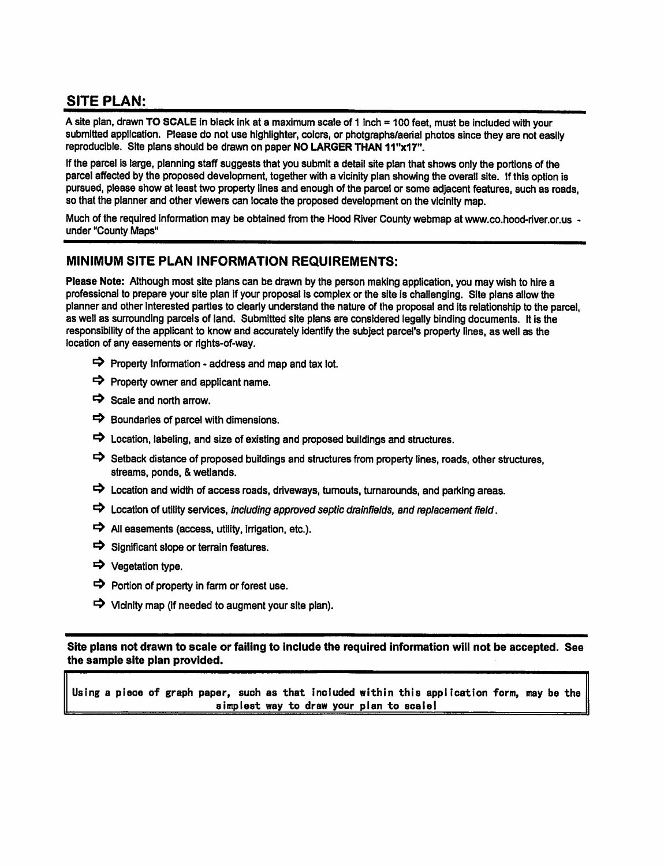# **SITE PLAN:**

A site plan, drawn TO SCALE in black ink at a maximum scale of 1 inch = 100 feet, must be included with your submitted application. Please do not use highlighter, colors, or photgraphs/aerial photos since they are not easily reproducible. Site plans should be drawn on paper NO LARGER THAN 11"x17".

If the parcel is large, planning staff suggests that you submit a detail site plan that shows only the portions of the parcel affected by the proposed development, together with a vicinity plan showing the overall site. If this option is pursued, please show at least two property lines and enough of the parcel or some adjacent features, such as roads, so that the planner and other viewers can locate the proposed development on the vicinity map.

Much of the required information may be obtained from the Hood River County webmap at www.co.hood-river.or.us under "County Maps"

#### MINIMUM SITE PLAN INFORMATION REQUIREMENTS:

Please Note: Although most site plans can be drawn by the person making application, you may wish to hire a professional to prepare your site plan if your proposal is complex or the site is challenging. Site plans allow the planner and other interested parties to clearly understand the nature of the proposal and its relationship to the parcel. as well as surrounding parcels of land. Submitted site plans are considered legally binding documents. It is the responsibility of the applicant to know and accurately identify the subject parcel's property lines, as well as the location of any easements or rights-of-way.

- $\Rightarrow$  Property Information address and map and tax lot.
- $\Rightarrow$  Property owner and applicant name.
- $\Rightarrow$  Scale and north arrow.
- $\Rightarrow$  Boundaries of parcel with dimensions.
- $\Rightarrow$  Location, labeling, and size of existing and proposed buildings and structures.
- Setback distance of proposed buildings and structures from property lines, roads, other structures, streams, ponds, & wetlands.
- $\Rightarrow$  Location and width of access roads, driveways, turnouts, turnarounds, and parking areas.
- $\Rightarrow$  Location of utility services, including approved septic drainfields, and replacement field.
- $\Rightarrow$  All easements (access, utility, irrigation, etc.).
- $\Rightarrow$  Significant slope or terrain features.
- → Vegetation type.
- $\Rightarrow$  Portion of property in farm or forest use.
- $\Rightarrow$  Vicinity map (if needed to augment your site plan).

Site plans not drawn to scale or failing to include the required information will not be accepted. See the sample site plan provided.

Using a piece of graph paper, such as that included within this application form, may be the simplest way to draw your plan to scale!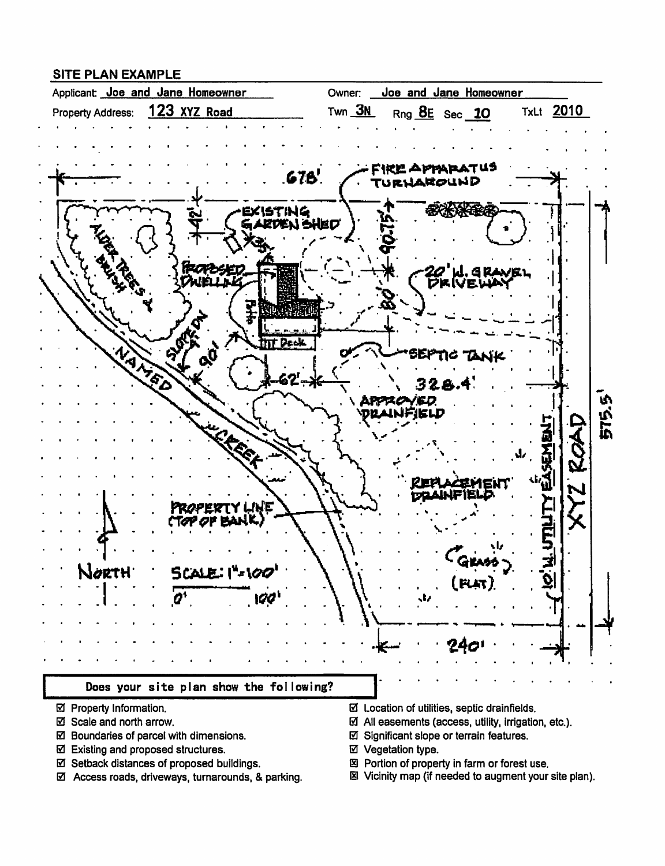### **SITE PLAN EXAMPLE**



- ☑ Property Information.
- ☑ Scale and north arrow.
- ☑ Boundaries of parcel with dimensions.
- ☑ Existing and proposed structures.
- ☑ Setback distances of proposed buildings.
- ☑ Access roads, driveways, turnarounds, & parking.
- $\boxtimes$  Location of utilities, septic drainfields.
- $\boxtimes$  All easements (access, utility, irrigation, etc.).
- ☑ Significant slope or terrain features.
- ☑ Vegetation type.
- 図 Portion of property in farm or forest use.
- 图 Vicinity map (if needed to augment your site plan).